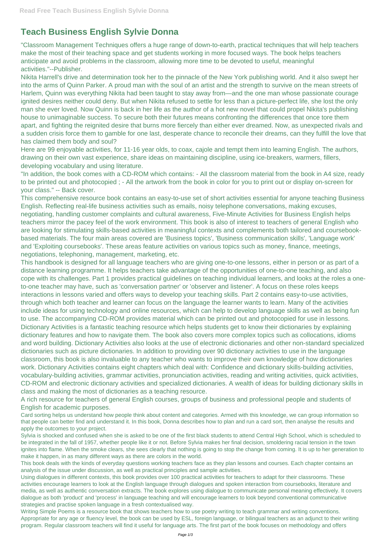## **Teach Business English Sylvie Donna**

"Classroom Management Techniques offers a huge range of down-to-earth, practical techniques that will help teachers make the most of their teaching space and get students working in more focused ways. The book helps teachers anticipate and avoid problems in the classroom, allowing more time to be devoted to useful, meaningful activities."--Publisher.

Nikita Harrell's drive and determination took her to the pinnacle of the New York publishing world. And it also swept her into the arms of Quinn Parker. A proud man with the soul of an artist and the strength to survive on the mean streets of Harlem, Quinn was everything Nikita had been taught to stay away from—and the one man whose passionate courage ignited desires neither could deny. But when Nikita refused to settle for less than a picture-perfect life, she lost the only man she ever loved. Now Quinn is back in her life as the author of a hot new novel that could propel Nikita's publishing house to unimaginable success. To secure both their futures means confronting the differences that once tore them apart, and fighting the reignited desire that burns more fiercely than either ever dreamed. Now, as unexpected rivals and a sudden crisis force them to gamble for one last, desperate chance to reconcile their dreams, can they fulfill the love that has claimed them body and soul?

Here are 99 enjoyable activities, for 11-16 year olds, to coax, cajole and tempt them into learning English. The authors, drawing on their own vast experience, share ideas on maintaining discipline, using ice-breakers, warmers, fillers, developing vocabulary and using literature.

"In addition, the book comes with a CD-ROM which contains: - All the classroom material from the book in A4 size, ready to be printed out and photocopied ; - All the artwork from the book in color for you to print out or display on-screen for your class." -- Back cover.

This comprehensive resource book contains an easy-to-use set of short activities essential for anyone teaching Business English. Reflecting real-life business activities such as emails, noisy telephone conversations, making excuses, negotiating, handling customer complaints and cultural awareness, Five-Minute Activities for Business English helps teachers mirror the pacey feel of the work environment. This book is also of interest to teachers of general English who are looking for stimulating skills-based activities in meaningful contexts and complements both tailored and coursebookbased materials. The four main areas covered are 'Business topics', 'Business communication skills', 'Language work' and 'Exploiting coursebooks'. These areas feature activities on various topics such as money, finance, meetings, negotiations, telephoning, management, marketing, etc.

This handbook is designed for all language teachers who are giving one-to-one lessons, either in person or as part of a distance learning programme. It helps teachers take advantage of the opportunities of one-to-one teaching, and also cope with its challenges. Part 1 provides practical guidelines on teaching individual learners, and looks at the roles a oneto-one teacher may have, such as 'conversation partner' or 'observer and listener'. A focus on these roles keeps interactions in lessons varied and offers ways to develop your teaching skills. Part 2 contains easy-to-use activities, through which both teacher and learner can focus on the language the learner wants to learn. Many of the activities include ideas for using technology and online resources, which can help to develop language skills as well as being fun to use. The accompanying CD-ROM provides material which can be printed out and photocopied for use in lessons. Dictionary Activities is a fantastic teaching resource which helps students get to know their dictionaries by explaining dictionary features and how to navigate them. The book also covers more complex topics such as collocations, idioms and word building. Dictionary Activities also looks at the use of electronic dictionaries and other non-standard specialized dictionaries such as picture dictionaries. In addition to providing over 90 dictionary activities to use in the language classroom, this book is also invaluable to any teacher who wants to improve their own knowledge of how dictionaries work. Dictionary Activities contains eight chapters which deal with: Confidence and dictionary skills-building activities, vocabulary-building activities, grammar activities, pronunciation activities, reading and writing activities, quick activities, CD-ROM and electronic dictionary activities and specialized dictionaries. A wealth of ideas for building dictionary skills in class and making the most of dictionaries as a teaching resource.

A rich resource for teachers of general English courses, groups of business and professional people and students of English for academic purposes.

Card sorting helps us understand how people think about content and categories. Armed with this knowledge, we can group information so that people can better find and understand it. In this book, Donna describes how to plan and run a card sort, then analyse the results and apply the outcomes to your project.

Sylvia is shocked and confused when she is asked to be one of the first black students to attend Central High School, which is scheduled to be integrated in the fall of 1957, whether people like it or not. Before Sylvia makes her final decision, smoldering racial tension in the town ignites into flame. When the smoke clears, she sees clearly that nothing is going to stop the change from coming. It is up to her generation to make it happen, in as many different ways as there are colors in the world.

This book deals with the kinds of everyday questions working teachers face as they plan lessons and courses. Each chapter contains an analysis of the issue under discussion, as well as practical principles and sample activities.

Using dialogues in different contexts, this book provides over 100 practical activities for teachers to adapt for their classrooms. These activities encourage learners to look at the English language through dialogues and spoken interaction from coursebooks, literature and media, as well as authentic conversation extracts. The book explores using dialogue to communicate personal meaning effectively. It covers dialogue as both 'product' and 'process' in language teaching and will encourage learners to look beyond conventional communicative strategies and practise spoken language in a fresh contextualised way.

Writing Simple Poems is a resource book that shows teachers how to use poetry writing to teach grammar and writing conventions. Appropriate for any age or fluency level, the book can be used by ESL, foreign language, or bilingual teachers as an adjunct to their writing program. Regular classroom teachers will find it useful for language arts. The first part of the book focuses on methodology and offers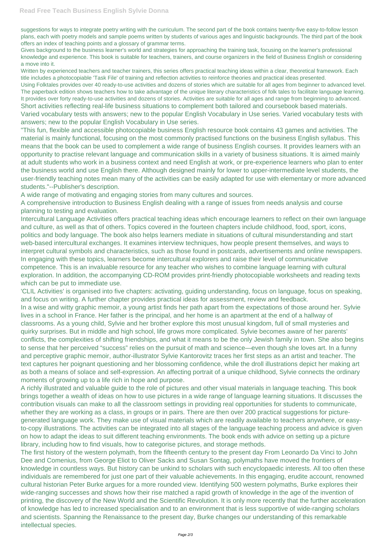suggestions for ways to integrate poetry writing with the curriculum. The second part of the book contains twenty-five easy-to-follow lesson plans, each with poetry models and sample poems written by students of various ages and linguistic backgrounds. The third part of the book offers an index of teaching points and a glossary of grammar terms.

Gives background to the business learner's world and strategies for approaching the training task, focusing on the learner's professional knowledge and experience. This book is suitable for teachers, trainers, and course organizers in the field of Business English or considering a move into it.

Written by experienced teachers and teacher trainers, this series offers practical teaching ideas within a clear, theoretical framework. Each title includes a photocopiable 'Task File' of training and reflection activities to reinforce theories and practical ideas presented.

Using Folktales provides over 40 ready-to-use activities and dozens of stories which are suitable for all ages from beginner to advanced level. The paperback edition shows teachers how to take advantage of the unique literary characteristics of folk tales to facilitate language learning. It provides over forty ready-to-use activities and dozens of stories. Activities are suitable for all ages and range from beginning to advanced. Short activities reflecting real-life business situations to complement both tailored and coursebook based materials. Varied vocabulary tests with answers; new to the popular English Vocabulary in Use series. Varied vocabulary tests with answers; new to the popular English Vocabulary in Use series.

"This fun, flexible and accessible photocopiable business English resource book contains 43 games and activities. The material is mainly functional, focusing on the most commonly practised functions on the business English syllabus. This means that the book can be used to complement a wide range of business English courses. It provides learners with an opportunity to practise relevant language and communication skills in a variety of business situations. It is aimed mainly at adult students who work in a business context and need English at work, or pre-experience learners who plan to enter the business world and use English there. Although designed mainly for lower to upper-intermediate level students, the user-friendly teaching notes mean many of the activities can be easily adapted for use with elementary or more advanced students."--Publisher's description.

A wide range of motivating and engaging stories from many cultures and sources.

A comprehensive introduction to Business English dealing with a range of issues from needs analysis and course planning to testing and evaluation.

Intercultural Language Activities offers practical teaching ideas which encourage learners to reflect on their own language and culture, as well as that of others. Topics covered in the fourteen chapters include childhood, food, sport, icons, politics and body language. The book also helps learners mediate in situations of cultural misunderstanding and start web-based intercultural exchanges. It examines interview techniques, how people present themselves, and ways to interpret cultural symbols and characteristics, such as those found in postcards, advertisements and online newspapers. In engaging with these topics, learners become intercultural explorers and raise their level of communicative competence. This is an invaluable resource for any teacher who wishes to combine language learning with cultural exploration. In addition, the accompanying CD-ROM provides print-friendly photocopiable worksheets and reading texts which can be put to immediate use.

'CLIL Activities' is organised into five chapters: activating, guiding understanding, focus on language, focus on speaking, and focus on writing. A further chapter provides practical ideas for assessment, review and feedback.

In a wise and witty graphic memoir, a young artist finds her path apart from the expectations of those around her. Sylvie lives in a school in France. Her father is the principal, and her home is an apartment at the end of a hallway of classrooms. As a young child, Sylvie and her brother explore this most unusual kingdom, full of small mysteries and quirky surprises. But in middle and high school, life grows more complicated. Sylvie becomes aware of her parents' conflicts, the complexities of shifting friendships, and what it means to be the only Jewish family in town. She also begins to sense that her perceived "success" relies on the pursuit of math and science—even though she loves art. In a funny and perceptive graphic memoir, author-illustrator Sylvie Kantorovitz traces her first steps as an artist and teacher. The text captures her poignant questioning and her blossoming confidence, while the droll illustrations depict her making art as both a means of solace and self-expression. An affecting portrait of a unique childhood, Sylvie connects the ordinary moments of growing up to a life rich in hope and purpose.

A richly illustrated and valuable guide to the role of pictures and other visual materials in language teaching. This book brings together a wealth of ideas on how to use pictures in a wide range of language learning situations. It discusses the contribution visuals can make to all the classroom settings in providing real opportunities for students to communicate, whether they are working as a class, in groups or in pairs. There are then over 200 practical suggestions for picturegenerated language work. They make use of visual materials which are readily available to teachers anywhere, or easyto-copy illustrations. The activities can be integrated into all stages of the language teaching process and advice is given on how to adapt the ideas to suit different teaching environments. The book ends with advice on setting up a picture library, including how to find visuals, how to categorise pictures, and storage methods. The first history of the western polymath, from the fifteenth century to the present day From Leonardo Da Vinci to John Dee and Comenius, from George Eliot to Oliver Sacks and Susan Sontag, polymaths have moved the frontiers of knowledge in countless ways. But history can be unkind to scholars with such encyclopaedic interests. All too often these individuals are remembered for just one part of their valuable achievements. In this engaging, erudite account, renowned cultural historian Peter Burke argues for a more rounded view. Identifying 500 western polymaths, Burke explores their wide-ranging successes and shows how their rise matched a rapid growth of knowledge in the age of the invention of printing, the discovery of the New World and the Scientific Revolution. It is only more recently that the further acceleration of knowledge has led to increased specialisation and to an environment that is less supportive of wide-ranging scholars and scientists. Spanning the Renaissance to the present day, Burke changes our understanding of this remarkable intellectual species.